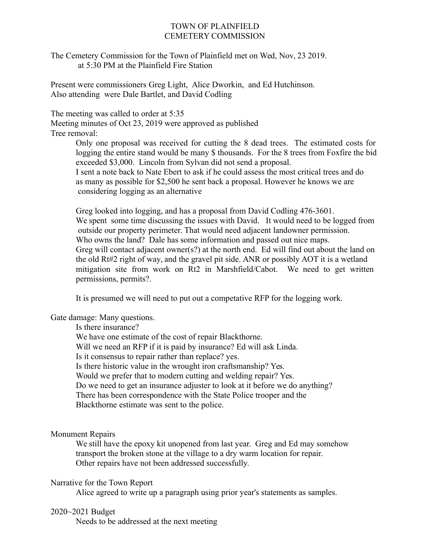## TOWN OF PLAINFIELD CEMETERY COMMISSION

The Cemetery Commission for the Town of Plainfield met on Wed, Nov, 23 2019. at 5:30 PM at the Plainfield Fire Station

Present were commissioners Greg Light, Alice Dworkin, and Ed Hutchinson. Also attending were Dale Bartlet, and David Codling

The meeting was called to order at 5:35

Meeting minutes of Oct 23, 2019 were approved as published Tree removal:

> Only one proposal was received for cutting the 8 dead trees. The estimated costs for logging the entire stand would be many \$ thousands. For the 8 trees from Foxfire the bid exceeded \$3,000. Lincoln from Sylvan did not send a proposal. I sent a note back to Nate Ebert to ask if he could assess the most critical trees and do as many as possible for \$2,500 he sent back a proposal. However he knows we are considering logging as an alternative

> Greg looked into logging, and has a proposal from David Codling 476-3601. We spent some time discussing the issues with David. It would need to be logged from outside our property perimeter. That would need adjacent landowner permission. Who owns the land? Dale has some information and passed out nice maps. Greg will contact adjacent owner(s?) at the north end. Ed will find out about the land on the old Rt#2 right of way, and the gravel pit side. ANR or possibly AOT it is a wetland mitigation site from work on Rt2 in Marshfield/Cabot. We need to get written permissions, permits?.

It is presumed we will need to put out a competative RFP for the logging work.

Gate damage: Many questions.

Is there insurance?

We have one estimate of the cost of repair Blackthorne.

Will we need an RFP if it is paid by insurance? Ed will ask Linda.

Is it consensus to repair rather than replace? yes.

Is there historic value in the wrought iron craftsmanship? Yes.

Would we prefer that to modern cutting and welding repair? Yes.

Do we need to get an insurance adjuster to look at it before we do anything?

There has been correspondence with the State Police trooper and the

Blackthorne estimate was sent to the police.

#### Monument Repairs

We still have the epoxy kit unopened from last year. Greg and Ed may somehow transport the broken stone at the village to a dry warm location for repair. Other repairs have not been addressed successfully.

#### Narrative for the Town Report

Alice agreed to write up a paragraph using prior year's statements as samples.

# 2020~2021 Budget

Needs to be addressed at the next meeting